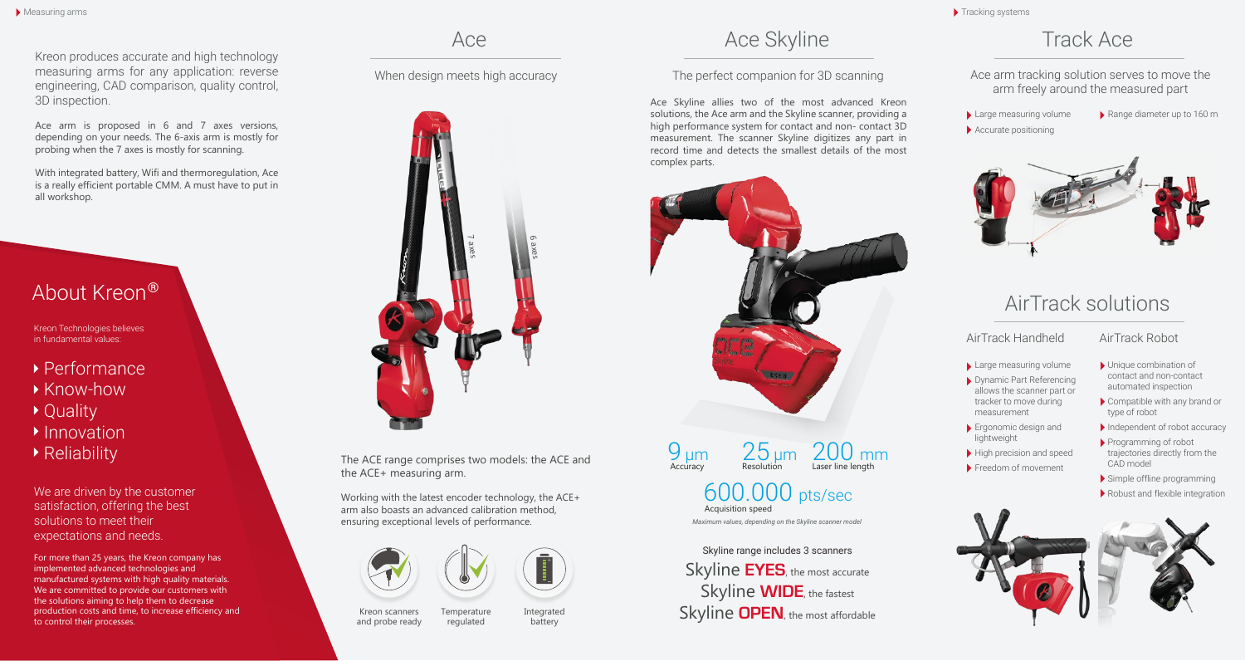Kreon produces accurate and high technology measuring arms for any application: reverse engineering, CAD comparison, quality control, 3D inspection.

Ace arm is proposed in 6 and 7 axes versions, depending on your needs. The 6-axis arm is mostly for probing when the 7 axes is mostly for scanning.

With integrated battery, Wifi and thermoregulation, Ace is a really efficient portable CMM. A must have to put in all workshop.

## About Kreon ®

Kreon Technologies believes in fundamental values:

- Performance
- ▶ Know-how
- ▶ Quality
- $\blacktriangleright$  Innovation
- ▶ Reliability

We are driven by the customer satisfaction, offering the best solutions to meet their expectations and needs.

For more than 25 years, the Kreon company has implemented advanced technologies and manufactured systems with high quality materials. We are committed to provide our customers with the solutions aiming to help them to decrease production costs and time, to increase efficiency and to control their processes.



The ACE range comprises two models: the ACE and the ACE+ measuring arm.

Working with the latest encoder technology, the ACE+ arm also boasts an advanced calibration method, ensuring exceptional levels of performance.





Kreon scanners and probe ready **Temperature** regulated Integrated battery

## Ace Skyline Track Ace Skyline Track Ace

### When design meets high accuracy The perfect companion for 3D scanning

Ace Skyline allies two of the most advanced Kreon solutions, the Ace arm and the Skyline scanner, providing a high performance system for contact and non- contact 3D measurement. The scanner Skyline digitizes any part in record time and detects the smallest details of the most complex parts.





## Acquisition speed 600.000 pts/sec

*Maximum values, depending on the Skyline scanner model*

Skyline **EYES**, the most accurate Skyline **WIDE**, the fastest Skyline **OPEN**, the most affordable Skyline range includes 3 scanners

Tracking systems

### Ace arm tracking solution serves to move the arm freely around the measured part

Large measuring volume Accurate positioning Range diameter up to 160 m



# AirTrack solutions

### AirTrack Handheld AirTrack Robot

Unique combination of contact and non-contact automated inspection Compatible with any brand or

type of robot

CAD model

### Large measuring volume

- Dynamic Part Referencing allows the scanner part or tracker to move during measurement
- Ergonomic design and lightweight
- High precision and speed Freedom of movement
	- Simple offline programming

Programming of robot trajectories directly from the

Robust and flexible integration

Independent of robot accuracy